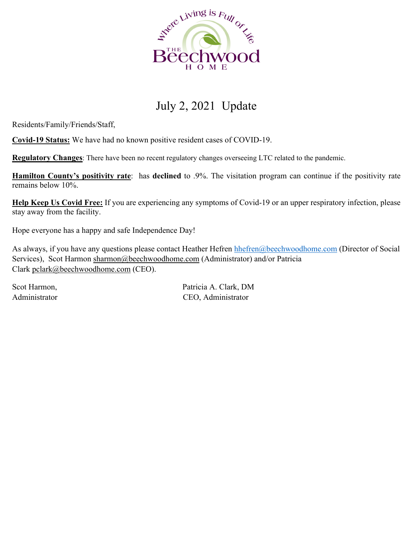

## July 2, 2021 Update

Residents/Family/Friends/Staff,

**Covid-19 Status:** We have had no known positive resident cases of COVID-19.

**Regulatory Changes**: There have been no recent regulatory changes overseeing LTC related to the pandemic.

**Hamilton County's positivity rate**: has **declined** to .9%. The visitation program can continue if the positivity rate remains below 10%.

**Help Keep Us Covid Free:** If you are experiencing any symptoms of Covid-19 or an upper respiratory infection, please stay away from the facility.

Hope everyone has a happy and safe Independence Day!

As always, if you have any questions please contact Heather Hefren hhefren @beechwoodhome.com (Director of Social Services), Scot Harmon sharmon@beechwoodhome.com (Administrator) and/or Patricia Clark pclark@beechwoodhome.com (CEO).

Scot Harmon, Patricia A. Clark, DM Administrator CEO, Administrator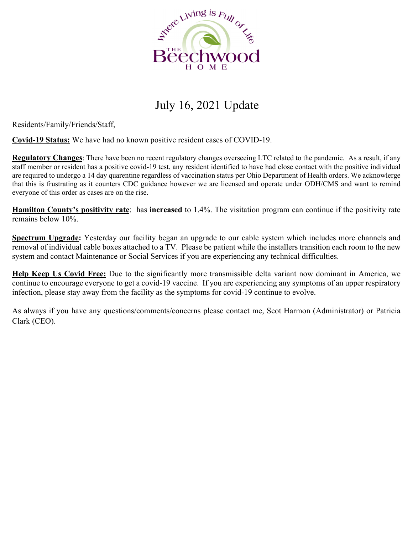

## July 16, 2021 Update

Residents/Family/Friends/Staff,

**Covid-19 Status:** We have had no known positive resident cases of COVID-19.

**Regulatory Changes**: There have been no recent regulatory changes overseeing LTC related to the pandemic. As a result, if any staff member or resident has a positive covid-19 test, any resident identified to have had close contact with the positive individual are required to undergo a 14 day quarentine regardless of vaccination status per Ohio Department of Health orders. We acknowlerge that this is frustrating as it counters CDC guidance however we are licensed and operate under ODH/CMS and want to remind everyone of this order as cases are on the rise.

**Hamilton County's positivity rate**: has **increased** to 1.4%. The visitation program can continue if the positivity rate remains below 10%.

**Spectrum Upgrade:** Yesterday our facility began an upgrade to our cable system which includes more channels and removal of individual cable boxes attached to a TV. Please be patient while the installers transition each room to the new system and contact Maintenance or Social Services if you are experiencing any technical difficulties.

**Help Keep Us Covid Free:** Due to the significantly more transmissible delta variant now dominant in America, we continue to encourage everyone to get a covid-19 vaccine. If you are experiencing any symptoms of an upper respiratory infection, please stay away from the facility as the symptoms for covid-19 continue to evolve.

As always if you have any questions/comments/concerns please contact me, Scot Harmon (Administrator) or Patricia Clark (CEO).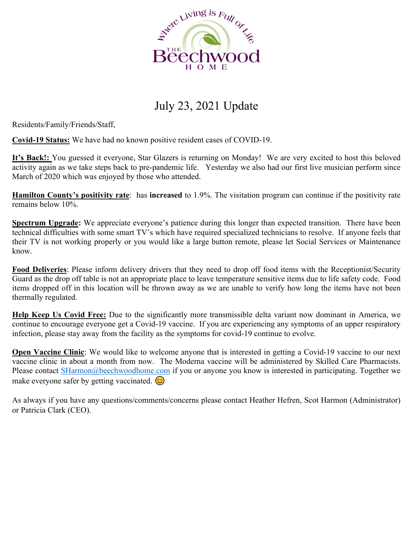

## July 23, 2021 Update

Residents/Family/Friends/Staff,

**Covid-19 Status:** We have had no known positive resident cases of COVID-19.

**It's Back!:** You guessed it everyone, Star Glazers is returning on Monday! We are very excited to host this beloved activity again as we take steps back to pre-pandemic life. Yesterday we also had our first live musician perform since March of 2020 which was enjoyed by those who attended.

**Hamilton County's positivity rate**: has **increased** to 1.9%. The visitation program can continue if the positivity rate remains below 10%.

**Spectrum Upgrade:** We appreciate everyone's patience during this longer than expected transition. There have been technical difficulties with some smart TV's which have required specialized technicians to resolve. If anyone feels that their TV is not working properly or you would like a large button remote, please let Social Services or Maintenance know.

**Food Deliveries**: Please inform delivery drivers that they need to drop off food items with the Receptionist/Security Guard as the drop off table is not an appropriate place to leave temperature sensitive items due to life safety code. Food items dropped off in this location will be thrown away as we are unable to verify how long the items have not been thermally regulated.

**Help Keep Us Covid Free:** Due to the significantly more transmissible delta variant now dominant in America, we continue to encourage everyone get a Covid-19 vaccine. If you are experiencing any symptoms of an upper respiratory infection, please stay away from the facility as the symptoms for covid-19 continue to evolve.

**Open Vaccine Clinic**: We would like to welcome anyone that is interested in getting a Covid-19 vaccine to our next vaccine clinic in about a month from now. The Moderna vaccine will be administered by Skilled Care Pharmacists. Please contact SHarmon@beechwoodhome.com if you or anyone you know is interested in participating. Together we make everyone safer by getting vaccinated.  $\odot$ 

As always if you have any questions/comments/concerns please contact Heather Hefren, Scot Harmon (Administrator) or Patricia Clark (CEO).